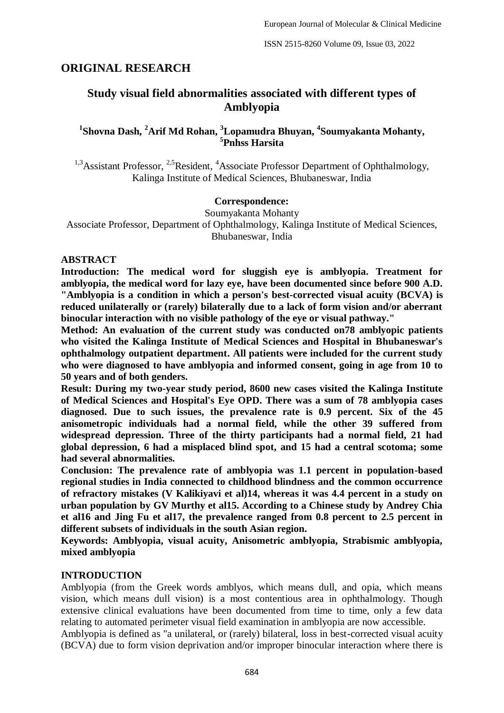# **ORIGINAL RESEARCH**

# **Study visual field abnormalities associated with different types of Amblyopia**

# **1 Shovna Dash, <sup>2</sup>Arif Md Rohan, <sup>3</sup>Lopamudra Bhuyan, <sup>4</sup> Soumyakanta Mohanty, 5 Pnhss Harsita**

<sup>1,3</sup>Assistant Professor, <sup>2,5</sup>Resident, <sup>4</sup>Associate Professor Department of Ophthalmology, Kalinga Institute of Medical Sciences, Bhubaneswar, India

## **Correspondence:**

Soumyakanta Mohanty Associate Professor, Department of Ophthalmology, Kalinga Institute of Medical Sciences, Bhubaneswar, India

## **ABSTRACT**

**Introduction: The medical word for sluggish eye is amblyopia. Treatment for amblyopia, the medical word for lazy eye, have been documented since before 900 A.D. "Amblyopia is a condition in which a person's best-corrected visual acuity (BCVA) is reduced unilaterally or (rarely) bilaterally due to a lack of form vision and/or aberrant binocular interaction with no visible pathology of the eye or visual pathway."**

**Method: An evaluation of the current study was conducted on78 amblyopic patients who visited the Kalinga Institute of Medical Sciences and Hospital in Bhubaneswar's ophthalmology outpatient department. All patients were included for the current study who were diagnosed to have amblyopia and informed consent, going in age from 10 to 50 years and of both genders.**

**Result: During my two-year study period, 8600 new cases visited the Kalinga Institute of Medical Sciences and Hospital's Eye OPD. There was a sum of 78 amblyopia cases diagnosed. Due to such issues, the prevalence rate is 0.9 percent. Six of the 45 anisometropic individuals had a normal field, while the other 39 suffered from widespread depression. Three of the thirty participants had a normal field, 21 had global depression, 6 had a misplaced blind spot, and 15 had a central scotoma; some had several abnormalities.**

**Conclusion: The prevalence rate of amblyopia was 1.1 percent in population-based regional studies in India connected to childhood blindness and the common occurrence of refractory mistakes (V Kalikiyavi et al)14, whereas it was 4.4 percent in a study on urban population by GV Murthy et al15. According to a Chinese study by Andrey Chia et al16 and Jing Fu et al17, the prevalence ranged from 0.8 percent to 2.5 percent in different subsets of individuals in the south Asian region.**

**Keywords: Amblyopia, visual acuity, Anisometric amblyopia, Strabismic amblyopia, mixed amblyopia**

# **INTRODUCTION**

Amblyopia (from the Greek words amblyos, which means dull, and opia, which means vision, which means dull vision) is a most contentious area in ophthalmology. Though extensive clinical evaluations have been documented from time to time, only a few data relating to automated perimeter visual field examination in amblyopia are now accessible.

Amblyopia is defined as "a unilateral, or (rarely) bilateral, loss in best-corrected visual acuity (BCVA) due to form vision deprivation and/or improper binocular interaction where there is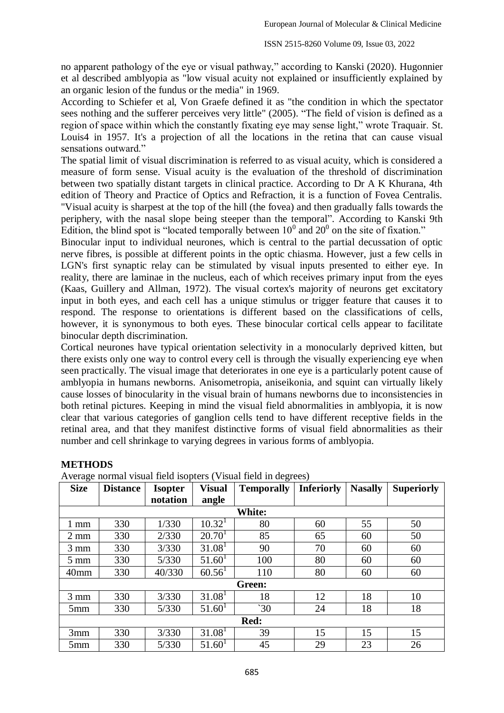no apparent pathology of the eye or visual pathway," according to Kanski (2020). Hugonnier et al described amblyopia as "low visual acuity not explained or insufficiently explained by an organic lesion of the fundus or the media" in 1969.

According to Schiefer et al, Von Graefe defined it as "the condition in which the spectator sees nothing and the sufferer perceives very little" (2005). "The field of vision is defined as a region of space within which the constantly fixating eye may sense light," wrote Traquair. St. Louis4 in 1957. It's a projection of all the locations in the retina that can cause visual sensations outward."

The spatial limit of visual discrimination is referred to as visual acuity, which is considered a measure of form sense. Visual acuity is the evaluation of the threshold of discrimination between two spatially distant targets in clinical practice. According to Dr A K Khurana, 4th edition of Theory and Practice of Optics and Refraction, it is a function of Fovea Centralis. "Visual acuity is sharpest at the top of the hill (the fovea) and then gradually falls towards the periphery, with the nasal slope being steeper than the temporal". According to Kanski 9th Edition, the blind spot is "located temporally between  $10<sup>0</sup>$  and  $20<sup>0</sup>$  on the site of fixation."

Binocular input to individual neurones, which is central to the partial decussation of optic nerve fibres, is possible at different points in the optic chiasma. However, just a few cells in LGN's first synaptic relay can be stimulated by visual inputs presented to either eye. In reality, there are laminae in the nucleus, each of which receives primary input from the eyes (Kaas, Guillery and Allman, 1972). The visual cortex's majority of neurons get excitatory input in both eyes, and each cell has a unique stimulus or trigger feature that causes it to respond. The response to orientations is different based on the classifications of cells, however, it is synonymous to both eyes. These binocular cortical cells appear to facilitate binocular depth discrimination.

Cortical neurones have typical orientation selectivity in a monocularly deprived kitten, but there exists only one way to control every cell is through the visually experiencing eye when seen practically. The visual image that deteriorates in one eye is a particularly potent cause of amblyopia in humans newborns. Anisometropia, aniseikonia, and squint can virtually likely cause losses of binocularity in the visual brain of humans newborns due to inconsistencies in both retinal pictures. Keeping in mind the visual field abnormalities in amblyopia, it is now clear that various categories of ganglion cells tend to have different receptive fields in the retinal area, and that they manifest distinctive forms of visual field abnormalities as their number and cell shrinkage to varying degrees in various forms of amblyopia.

| <b>Size</b>      | <b>Distance</b> | <b>Isopter</b> | <b>Visual</b>      | <b>Temporally</b> | <b>Inferiorly</b> | <b>Nasally</b> | <b>Superiorly</b> |  |
|------------------|-----------------|----------------|--------------------|-------------------|-------------------|----------------|-------------------|--|
|                  |                 | notation       | angle              |                   |                   |                |                   |  |
|                  |                 |                |                    | White:            |                   |                |                   |  |
| $1 \text{ mm}$   | 330             | 1/330          | 10.32 <sup>1</sup> | 80                | 60                | 55             | 50                |  |
| $2 \text{ mm}$   | 330             | 2/330          | 20.70 <sup>1</sup> | 85                | 65                | 60             | 50                |  |
| $3 \text{ mm}$   | 330             | 3/330          | 31.08 <sup>1</sup> | 90                | 70                | 60             | 60                |  |
| $5 \text{ mm}$   | 330             | 5/330          | 51.60 <sup>1</sup> | 100               | 80                | 60             | 60                |  |
| 40 <sub>mm</sub> | 330             | 40/330         | $60.56^1$          | 110               | 80                | 60             | 60                |  |
|                  | Green:          |                |                    |                   |                   |                |                   |  |
| $3 \text{ mm}$   | 330             | 3/330          | 31.08 <sup>1</sup> | 18                | 12                | 18             | 10                |  |
| 5mm              | 330             | 5/330          | 51.60 <sup>1</sup> | $\degree$ 30      | 24                | 18             | 18                |  |
| Red:             |                 |                |                    |                   |                   |                |                   |  |
| 3mm              | 330             | 3/330          | 31.08 <sup>1</sup> | 39                | 15                | 15             | 15                |  |
| 5 <sub>mm</sub>  | 330             | 5/330          | 51.60 <sup>1</sup> | 45                | 29                | 23             | 26                |  |

## **METHODS**

Average normal visual field isopters (Visual field in degrees)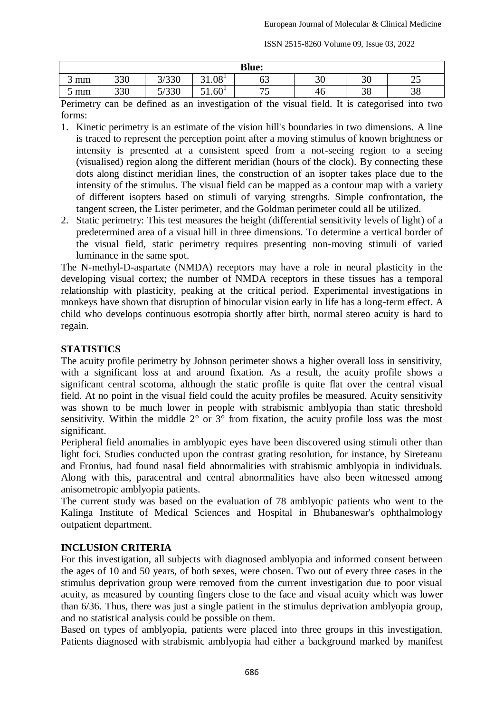| <b>Blue:</b> |                                                                                   |               |       |                                |    |          |    |  |  |
|--------------|-----------------------------------------------------------------------------------|---------------|-------|--------------------------------|----|----------|----|--|--|
| mm           | 330                                                                               | 2020<br>3/330 | 31.08 | $\overline{\phantom{a}}$<br>υJ | 30 | ററ<br>υc | رے |  |  |
| mm           | 330<br>5/330<br>51.60 <sup>1</sup><br>75<br>ററ<br>$\Omega$<br>46<br>эo<br>50<br>ັ |               |       |                                |    |          |    |  |  |

Perimetry can be defined as an investigation of the visual field. It is categorised into two forms:

- 1. Kinetic perimetry is an estimate of the vision hill's boundaries in two dimensions. A line is traced to represent the perception point after a moving stimulus of known brightness or intensity is presented at a consistent speed from a not-seeing region to a seeing (visualised) region along the different meridian (hours of the clock). By connecting these dots along distinct meridian lines, the construction of an isopter takes place due to the intensity of the stimulus. The visual field can be mapped as a contour map with a variety of different isopters based on stimuli of varying strengths. Simple confrontation, the tangent screen, the Lister perimeter, and the Goldman perimeter could all be utilized.
- 2. Static perimetry: This test measures the height (differential sensitivity levels of light) of a predetermined area of a visual hill in three dimensions. To determine a vertical border of the visual field, static perimetry requires presenting non-moving stimuli of varied luminance in the same spot.

The N-methyl-D-aspartate (NMDA) receptors may have a role in neural plasticity in the developing visual cortex; the number of NMDA receptors in these tissues has a temporal relationship with plasticity, peaking at the critical period. Experimental investigations in monkeys have shown that disruption of binocular vision early in life has a long-term effect. A child who develops continuous esotropia shortly after birth, normal stereo acuity is hard to regain.

# **STATISTICS**

The acuity profile perimetry by Johnson perimeter shows a higher overall loss in sensitivity, with a significant loss at and around fixation. As a result, the acuity profile shows a significant central scotoma, although the static profile is quite flat over the central visual field. At no point in the visual field could the acuity profiles be measured. Acuity sensitivity was shown to be much lower in people with strabismic amblyopia than static threshold sensitivity. Within the middle 2° or 3° from fixation, the acuity profile loss was the most significant.

Peripheral field anomalies in amblyopic eyes have been discovered using stimuli other than light foci. Studies conducted upon the contrast grating resolution, for instance, by Sireteanu and Fronius, had found nasal field abnormalities with strabismic amblyopia in individuals. Along with this, paracentral and central abnormalities have also been witnessed among anisometropic amblyopia patients.

The current study was based on the evaluation of 78 amblyopic patients who went to the Kalinga Institute of Medical Sciences and Hospital in Bhubaneswar's ophthalmology outpatient department.

# **INCLUSION CRITERIA**

For this investigation, all subjects with diagnosed amblyopia and informed consent between the ages of 10 and 50 years, of both sexes, were chosen. Two out of every three cases in the stimulus deprivation group were removed from the current investigation due to poor visual acuity, as measured by counting fingers close to the face and visual acuity which was lower than 6/36. Thus, there was just a single patient in the stimulus deprivation amblyopia group, and no statistical analysis could be possible on them.

Based on types of amblyopia, patients were placed into three groups in this investigation. Patients diagnosed with strabismic amblyopia had either a background marked by manifest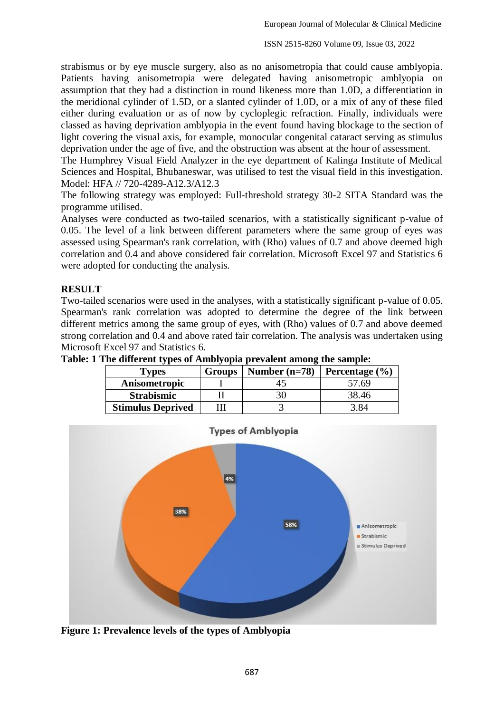strabismus or by eye muscle surgery, also as no anisometropia that could cause amblyopia. Patients having anisometropia were delegated having anisometropic amblyopia on assumption that they had a distinction in round likeness more than 1.0D, a differentiation in the meridional cylinder of 1.5D, or a slanted cylinder of 1.0D, or a mix of any of these filed either during evaluation or as of now by cycloplegic refraction. Finally, individuals were classed as having deprivation amblyopia in the event found having blockage to the section of light covering the visual axis, for example, monocular congenital cataract serving as stimulus deprivation under the age of five, and the obstruction was absent at the hour of assessment.

The Humphrey Visual Field Analyzer in the eye department of Kalinga Institute of Medical Sciences and Hospital, Bhubaneswar, was utilised to test the visual field in this investigation. Model: HFA // 720-4289-A12.3/A12.3

The following strategy was employed: Full-threshold strategy 30-2 SITA Standard was the programme utilised.

Analyses were conducted as two-tailed scenarios, with a statistically significant p-value of 0.05. The level of a link between different parameters where the same group of eyes was assessed using Spearman's rank correlation, with (Rho) values of 0.7 and above deemed high correlation and 0.4 and above considered fair correlation. Microsoft Excel 97 and Statistics 6 were adopted for conducting the analysis.

## **RESULT**

Two-tailed scenarios were used in the analyses, with a statistically significant p-value of 0.05. Spearman's rank correlation was adopted to determine the degree of the link between different metrics among the same group of eyes, with (Rho) values of 0.7 and above deemed strong correlation and 0.4 and above rated fair correlation. The analysis was undertaken using Microsoft Excel 97 and Statistics 6.

| . .<br>l vpes            | Groups | Number $(n=78)$ | Percentage $(\% )$ |
|--------------------------|--------|-----------------|--------------------|
| Anisometropic            |        |                 | 57.69              |
| <b>Strabismic</b>        |        |                 | 38.46              |
| <b>Stimulus Deprived</b> |        |                 |                    |

**Table: 1 The different types of Amblyopia prevalent among the sample:**



**Figure 1: Prevalence levels of the types of Amblyopia**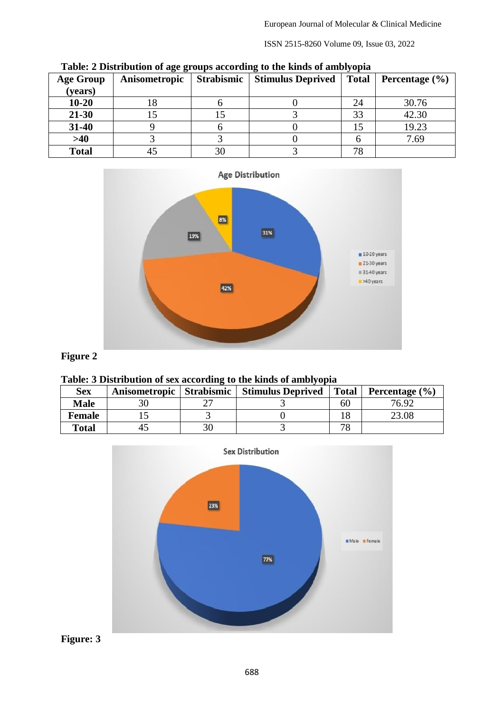| <b>Age Group</b><br>(years) | Anisometropic | Table. A Distribution of age groups according to the ninus of amoryopia<br><b>Strabismic</b>   Stimulus Deprived |    | Total   Percentage $(\% )$ |
|-----------------------------|---------------|------------------------------------------------------------------------------------------------------------------|----|----------------------------|
| $10 - 20$                   |               |                                                                                                                  | 24 | 30.76                      |
| $21 - 30$                   |               |                                                                                                                  |    | 42.30                      |
| $31 - 40$                   |               |                                                                                                                  |    | 19.23                      |
| >40                         |               |                                                                                                                  |    | 7.69                       |
| <b>Total</b>                |               |                                                                                                                  | 70 |                            |

**Table: 2 Distribution of age groups according to the kinds of amblyopia**



# **Figure 2**

#### **Table: 3 Distribution of sex according to the kinds of amblyopia**

| <b>Sex</b>    | Anisometropic Strabismic | <b>Stimulus Deprived</b> | <b>Total</b> | Percentage $(\% )$ |
|---------------|--------------------------|--------------------------|--------------|--------------------|
| <b>Male</b>   |                          |                          | 60           | 76.92              |
| <b>Female</b> |                          |                          |              | 23.08              |
| <b>Total</b>  | 43                       |                          |              |                    |



**Figure: 3**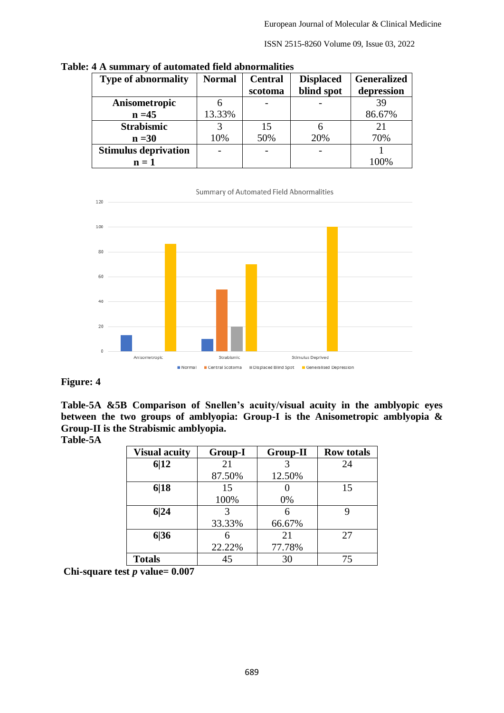| <b>Type of abnormality</b>  | <b>Normal</b> | <b>Central</b><br>scotoma | <b>Displaced</b><br>blind spot | <b>Generalized</b><br>depression |
|-----------------------------|---------------|---------------------------|--------------------------------|----------------------------------|
| Anisometropic               |               |                           |                                | 39                               |
| $n = 45$                    | 13.33%        |                           |                                | 86.67%                           |
| <b>Strabismic</b>           |               | 15                        |                                | 21                               |
| $n = 30$                    | 10%           | 50%                       | 20%                            | 70%                              |
| <b>Stimulus deprivation</b> |               |                           |                                |                                  |
| $n=1$                       |               |                           |                                | 100%                             |

**Table: 4 A summary of automated field abnormalities**



# **Figure: 4**

**Table-5A &5B Comparison of Snellen's acuity/visual acuity in the amblyopic eyes between the two groups of amblyopia: Group-I is the Anisometropic amblyopia & Group-II is the Strabismic amblyopia. Table-5A**

| <b>Visual acuity</b> | <b>Group-I</b> | <b>Group-II</b> | <b>Row totals</b> |
|----------------------|----------------|-----------------|-------------------|
| 6 12                 | 21             |                 | 24                |
|                      | 87.50%         | 12.50%          |                   |
| 6 18                 | 15             |                 | 15                |
|                      | 100%           | 0%              |                   |
| 6 24                 | 3              | 6               | 9                 |
|                      | 33.33%         | 66.67%          |                   |
| 6 36                 | 6              | 21              | 27                |
|                      | 22.22%         | 77.78%          |                   |
| <b>Totals</b>        | 45             | 30              | 75                |

**Chi-square test** *p* **value= 0.007**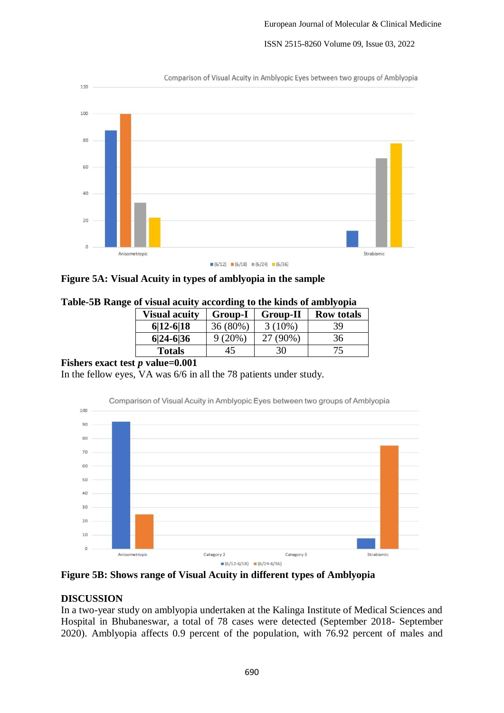

**Figure 5A: Visual Acuity in types of amblyopia in the sample**

|  | Table-5B Range of visual acuity according to the kinds of amblyopia |
|--|---------------------------------------------------------------------|
|  |                                                                     |
|  |                                                                     |

| <b>Visual acuity</b> | <b>Group-I</b> | <b>Group-II</b> | <b>Row totals</b> |
|----------------------|----------------|-----------------|-------------------|
| $6 12-6 18$          | 36 (80%)       | $3(10\%)$       | 39                |
| $6 24-6 36$          | 9(20%)         | $(90\%)$        | 36                |
| <b>Totals</b>        | 45             | 30              |                   |

# **Fishers exact test** *p* **value=0.001**

In the fellow eyes, VA was 6/6 in all the 78 patients under study.



**Figure 5B: Shows range of Visual Acuity in different types of Amblyopia**

# **DISCUSSION**

In a two-year study on amblyopia undertaken at the Kalinga Institute of Medical Sciences and Hospital in Bhubaneswar, a total of 78 cases were detected (September 2018- September 2020). Amblyopia affects 0.9 percent of the population, with 76.92 percent of males and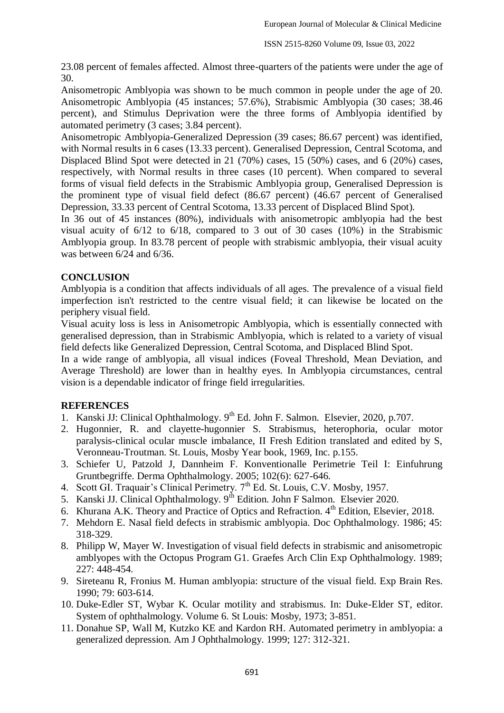23.08 percent of females affected. Almost three-quarters of the patients were under the age of 30.

Anisometropic Amblyopia was shown to be much common in people under the age of 20. Anisometropic Amblyopia (45 instances; 57.6%), Strabismic Amblyopia (30 cases; 38.46 percent), and Stimulus Deprivation were the three forms of Amblyopia identified by automated perimetry (3 cases; 3.84 percent).

Anisometropic Amblyopia-Generalized Depression (39 cases; 86.67 percent) was identified, with Normal results in 6 cases (13.33 percent). Generalised Depression, Central Scotoma, and Displaced Blind Spot were detected in 21 (70%) cases, 15 (50%) cases, and 6 (20%) cases, respectively, with Normal results in three cases (10 percent). When compared to several forms of visual field defects in the Strabismic Amblyopia group, Generalised Depression is the prominent type of visual field defect (86.67 percent) (46.67 percent of Generalised Depression, 33.33 percent of Central Scotoma, 13.33 percent of Displaced Blind Spot).

In 36 out of 45 instances (80%), individuals with anisometropic amblyopia had the best visual acuity of 6/12 to 6/18, compared to 3 out of 30 cases (10%) in the Strabismic Amblyopia group. In 83.78 percent of people with strabismic amblyopia, their visual acuity was between 6/24 and 6/36.

## **CONCLUSION**

Amblyopia is a condition that affects individuals of all ages. The prevalence of a visual field imperfection isn't restricted to the centre visual field; it can likewise be located on the periphery visual field.

Visual acuity loss is less in Anisometropic Amblyopia, which is essentially connected with generalised depression, than in Strabismic Amblyopia, which is related to a variety of visual field defects like Generalized Depression, Central Scotoma, and Displaced Blind Spot.

In a wide range of amblyopia, all visual indices (Foveal Threshold, Mean Deviation, and Average Threshold) are lower than in healthy eyes. In Amblyopia circumstances, central vision is a dependable indicator of fringe field irregularities.

## **REFERENCES**

- 1. Kanski JJ: Clinical Ophthalmology. 9<sup>th</sup> Ed. John F. Salmon. Elsevier, 2020, p.707.
- 2. Hugonnier, R. and clayette-hugonnier S. Strabismus, heterophoria, ocular motor paralysis-clinical ocular muscle imbalance, II Fresh Edition translated and edited by S, Veronneau-Troutman. St. Louis, Mosby Year book, 1969, Inc. p.155.
- 3. Schiefer U, Patzold J, Dannheim F. Konventionalle Perimetrie Teil I: Einfuhrung Gruntbegriffe. Derma Ophthalmology. 2005; 102(6): 627-646.
- 4. Scott GI. Traquair's Clinical Perimetry. 7<sup>th</sup> Ed. St. Louis, C.V. Mosby, 1957.
- 5. Kanski JJ. Clinical Ophthalmology.  $9^{th}$  Edition. John F Salmon. Elsevier 2020.
- 6. Khurana A.K. Theory and Practice of Optics and Refraction. 4<sup>th</sup> Edition, Elsevier, 2018.
- 7. Mehdorn E. Nasal field defects in strabismic amblyopia. Doc Ophthalmology. 1986; 45: 318-329.
- 8. Philipp W, Mayer W. Investigation of visual field defects in strabismic and anisometropic amblyopes with the Octopus Program G1. Graefes Arch Clin Exp Ophthalmology. 1989; 227: 448-454.
- 9. Sireteanu R, Fronius M. Human amblyopia: structure of the visual field. Exp Brain Res. 1990; 79: 603-614.
- 10. Duke-Edler ST, Wybar K. Ocular motility and strabismus. In: Duke-Elder ST, editor. System of ophthalmology. Volume 6. St Louis: Mosby, 1973; 3-851.
- 11. Donahue SP, Wall M, Kutzko KE and Kardon RH. Automated perimetry in amblyopia: a generalized depression. Am J Ophthalmology. 1999; 127: 312-321.